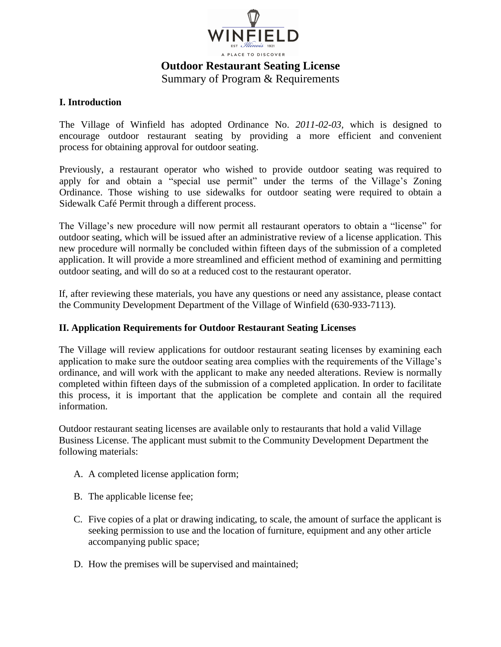

# **Outdoor Restaurant Seating License**  Summary of Program & Requirements

#### **I. Introduction**

The Village of Winfield has adopted Ordinance No. *2011-02-03,* which is designed to encourage outdoor restaurant seating by providing a more efficient and convenient process for obtaining approval for outdoor seating.

Previously, a restaurant operator who wished to provide outdoor seating was required to apply for and obtain a "special use permit" under the terms of the Village's Zoning Ordinance. Those wishing to use sidewalks for outdoor seating were required to obtain a Sidewalk Café Permit through a different process.

The Village's new procedure will now permit all restaurant operators to obtain a "license" for outdoor seating, which will be issued after an administrative review of a license application. This new procedure will normally be concluded within fifteen days of the submission of a completed application. It will provide a more streamlined and efficient method of examining and permitting outdoor seating, and will do so at a reduced cost to the restaurant operator.

If, after reviewing these materials, you have any questions or need any assistance, please contact the Community Development Department of the Village of Winfield (630-933-7113).

### **II. Application Requirements for Outdoor Restaurant Seating Licenses**

The Village will review applications for outdoor restaurant seating licenses by examining each application to make sure the outdoor seating area complies with the requirements of the Village's ordinance, and will work with the applicant to make any needed alterations. Review is normally completed within fifteen days of the submission of a completed application. In order to facilitate this process, it is important that the application be complete and contain all the required information.

Outdoor restaurant seating licenses are available only to restaurants that hold a valid Village Business License. The applicant must submit to the Community Development Department the following materials:

- A. A completed license application form;
- B. The applicable license fee;
- C. Five copies of a plat or drawing indicating, to scale, the amount of surface the applicant is seeking permission to use and the location of furniture, equipment and any other article accompanying public space;
- D. How the premises will be supervised and maintained;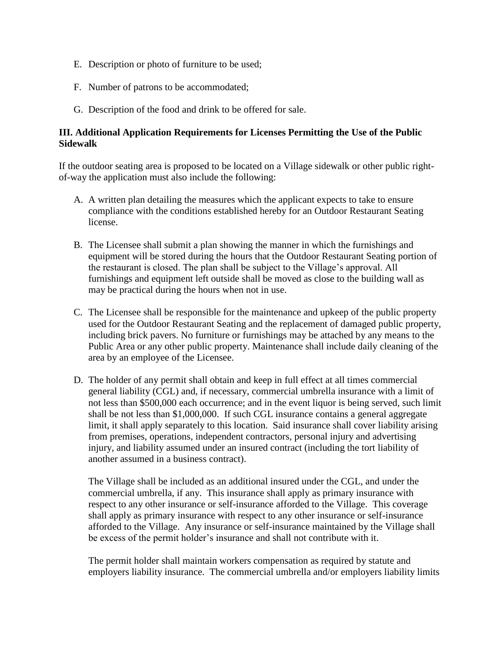- E. Description or photo of furniture to be used;
- F. Number of patrons to be accommodated;
- G. Description of the food and drink to be offered for sale.

## **III. Additional Application Requirements for Licenses Permitting the Use of the Public Sidewalk**

If the outdoor seating area is proposed to be located on a Village sidewalk or other public rightof-way the application must also include the following:

- A. A written plan detailing the measures which the applicant expects to take to ensure compliance with the conditions established hereby for an Outdoor Restaurant Seating license.
- B. The Licensee shall submit a plan showing the manner in which the furnishings and equipment will be stored during the hours that the Outdoor Restaurant Seating portion of the restaurant is closed. The plan shall be subject to the Village's approval. All furnishings and equipment left outside shall be moved as close to the building wall as may be practical during the hours when not in use.
- C. The Licensee shall be responsible for the maintenance and upkeep of the public property used for the Outdoor Restaurant Seating and the replacement of damaged public property, including brick pavers. No furniture or furnishings may be attached by any means to the Public Area or any other public property. Maintenance shall include daily cleaning of the area by an employee of the Licensee.
- D. The holder of any permit shall obtain and keep in full effect at all times commercial general liability (CGL) and, if necessary, commercial umbrella insurance with a limit of not less than \$500,000 each occurrence; and in the event liquor is being served, such limit shall be not less than \$1,000,000. If such CGL insurance contains a general aggregate limit, it shall apply separately to this location. Said insurance shall cover liability arising from premises, operations, independent contractors, personal injury and advertising injury, and liability assumed under an insured contract (including the tort liability of another assumed in a business contract).

The Village shall be included as an additional insured under the CGL, and under the commercial umbrella, if any. This insurance shall apply as primary insurance with respect to any other insurance or self-insurance afforded to the Village. This coverage shall apply as primary insurance with respect to any other insurance or self-insurance afforded to the Village. Any insurance or self-insurance maintained by the Village shall be excess of the permit holder's insurance and shall not contribute with it.

The permit holder shall maintain workers compensation as required by statute and employers liability insurance. The commercial umbrella and/or employers liability limits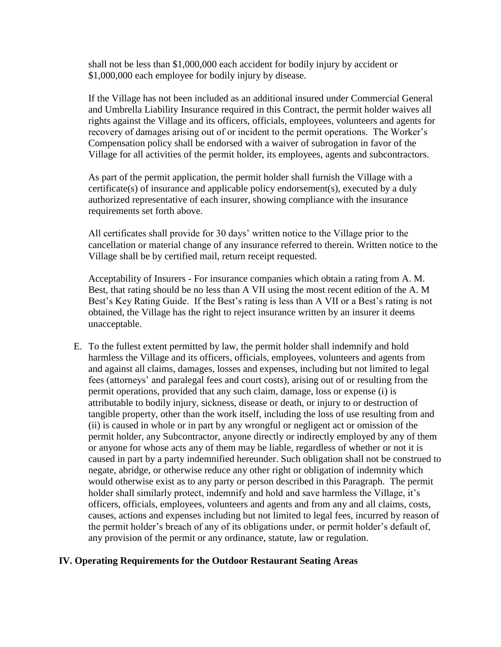shall not be less than \$1,000,000 each accident for bodily injury by accident or \$1,000,000 each employee for bodily injury by disease.

If the Village has not been included as an additional insured under Commercial General and Umbrella Liability Insurance required in this Contract, the permit holder waives all rights against the Village and its officers, officials, employees, volunteers and agents for recovery of damages arising out of or incident to the permit operations. The Worker's Compensation policy shall be endorsed with a waiver of subrogation in favor of the Village for all activities of the permit holder, its employees, agents and subcontractors.

As part of the permit application, the permit holder shall furnish the Village with a certificate(s) of insurance and applicable policy endorsement(s), executed by a duly authorized representative of each insurer, showing compliance with the insurance requirements set forth above.

All certificates shall provide for 30 days' written notice to the Village prior to the cancellation or material change of any insurance referred to therein. Written notice to the Village shall be by certified mail, return receipt requested.

Acceptability of Insurers - For insurance companies which obtain a rating from A. M. Best, that rating should be no less than A VII using the most recent edition of the A. M Best's Key Rating Guide. If the Best's rating is less than A VII or a Best's rating is not obtained, the Village has the right to reject insurance written by an insurer it deems unacceptable.

E. To the fullest extent permitted by law, the permit holder shall indemnify and hold harmless the Village and its officers, officials, employees, volunteers and agents from and against all claims, damages, losses and expenses, including but not limited to legal fees (attorneys' and paralegal fees and court costs), arising out of or resulting from the permit operations, provided that any such claim, damage, loss or expense (i) is attributable to bodily injury, sickness, disease or death, or injury to or destruction of tangible property, other than the work itself, including the loss of use resulting from and (ii) is caused in whole or in part by any wrongful or negligent act or omission of the permit holder, any Subcontractor, anyone directly or indirectly employed by any of them or anyone for whose acts any of them may be liable, regardless of whether or not it is caused in part by a party indemnified hereunder. Such obligation shall not be construed to negate, abridge, or otherwise reduce any other right or obligation of indemnity which would otherwise exist as to any party or person described in this Paragraph. The permit holder shall similarly protect, indemnify and hold and save harmless the Village, it's officers, officials, employees, volunteers and agents and from any and all claims, costs, causes, actions and expenses including but not limited to legal fees, incurred by reason of the permit holder's breach of any of its obligations under, or permit holder's default of, any provision of the permit or any ordinance, statute, law or regulation.

#### **IV. Operating Requirements for the Outdoor Restaurant Seating Areas**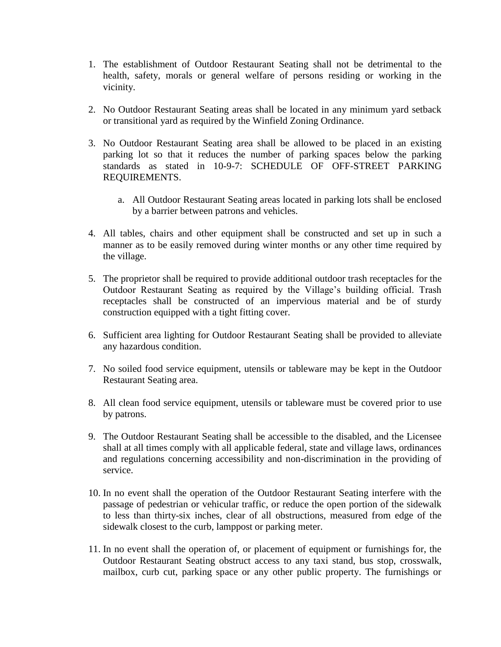- 1. The establishment of Outdoor Restaurant Seating shall not be detrimental to the health, safety, morals or general welfare of persons residing or working in the vicinity.
- 2. No Outdoor Restaurant Seating areas shall be located in any minimum yard setback or transitional yard as required by the Winfield Zoning Ordinance.
- 3. No Outdoor Restaurant Seating area shall be allowed to be placed in an existing parking lot so that it reduces the number of parking spaces below the parking standards as stated in 10-9-7: SCHEDULE OF OFF-STREET PARKING REQUIREMENTS.
	- a. All Outdoor Restaurant Seating areas located in parking lots shall be enclosed by a barrier between patrons and vehicles.
- 4. All tables, chairs and other equipment shall be constructed and set up in such a manner as to be easily removed during winter months or any other time required by the village.
- 5. The proprietor shall be required to provide additional outdoor trash receptacles for the Outdoor Restaurant Seating as required by the Village's building official. Trash receptacles shall be constructed of an impervious material and be of sturdy construction equipped with a tight fitting cover.
- 6. Sufficient area lighting for Outdoor Restaurant Seating shall be provided to alleviate any hazardous condition.
- 7. No soiled food service equipment, utensils or tableware may be kept in the Outdoor Restaurant Seating area.
- 8. All clean food service equipment, utensils or tableware must be covered prior to use by patrons.
- 9. The Outdoor Restaurant Seating shall be accessible to the disabled, and the Licensee shall at all times comply with all applicable federal, state and village laws, ordinances and regulations concerning accessibility and non-discrimination in the providing of service.
- 10. In no event shall the operation of the Outdoor Restaurant Seating interfere with the passage of pedestrian or vehicular traffic, or reduce the open portion of the sidewalk to less than thirty-six inches, clear of all obstructions, measured from edge of the sidewalk closest to the curb, lamppost or parking meter.
- 11. In no event shall the operation of, or placement of equipment or furnishings for, the Outdoor Restaurant Seating obstruct access to any taxi stand, bus stop, crosswalk, mailbox, curb cut, parking space or any other public property. The furnishings or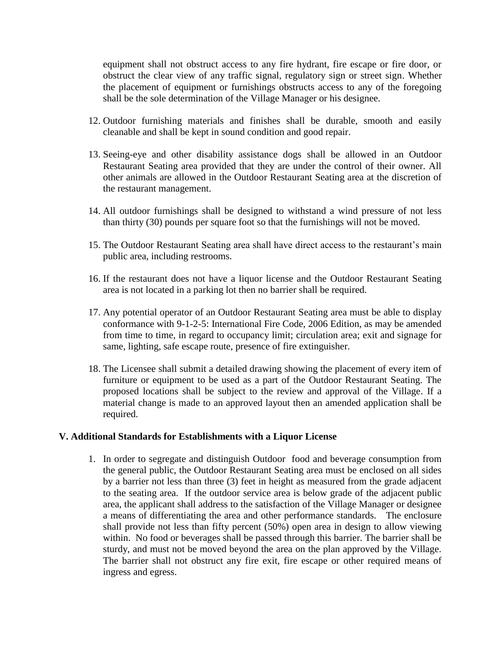equipment shall not obstruct access to any fire hydrant, fire escape or fire door, or obstruct the clear view of any traffic signal, regulatory sign or street sign. Whether the placement of equipment or furnishings obstructs access to any of the foregoing shall be the sole determination of the Village Manager or his designee.

- 12. Outdoor furnishing materials and finishes shall be durable, smooth and easily cleanable and shall be kept in sound condition and good repair.
- 13. Seeing-eye and other disability assistance dogs shall be allowed in an Outdoor Restaurant Seating area provided that they are under the control of their owner. All other animals are allowed in the Outdoor Restaurant Seating area at the discretion of the restaurant management.
- 14. All outdoor furnishings shall be designed to withstand a wind pressure of not less than thirty (30) pounds per square foot so that the furnishings will not be moved.
- 15. The Outdoor Restaurant Seating area shall have direct access to the restaurant's main public area, including restrooms.
- 16. If the restaurant does not have a liquor license and the Outdoor Restaurant Seating area is not located in a parking lot then no barrier shall be required.
- 17. Any potential operator of an Outdoor Restaurant Seating area must be able to display conformance with 9-1-2-5: International Fire Code, 2006 Edition, as may be amended from time to time, in regard to occupancy limit; circulation area; exit and signage for same, lighting, safe escape route, presence of fire extinguisher.
- 18. The Licensee shall submit a detailed drawing showing the placement of every item of furniture or equipment to be used as a part of the Outdoor Restaurant Seating. The proposed locations shall be subject to the review and approval of the Village. If a material change is made to an approved layout then an amended application shall be required.

#### **V. Additional Standards for Establishments with a Liquor License**

1. In order to segregate and distinguish Outdoor food and beverage consumption from the general public, the Outdoor Restaurant Seating area must be enclosed on all sides by a barrier not less than three (3) feet in height as measured from the grade adjacent to the seating area. If the outdoor service area is below grade of the adjacent public area, the applicant shall address to the satisfaction of the Village Manager or designee a means of differentiating the area and other performance standards.The enclosure shall provide not less than fifty percent (50%) open area in design to allow viewing within. No food or beverages shall be passed through this barrier. The barrier shall be sturdy, and must not be moved beyond the area on the plan approved by the Village. The barrier shall not obstruct any fire exit, fire escape or other required means of ingress and egress.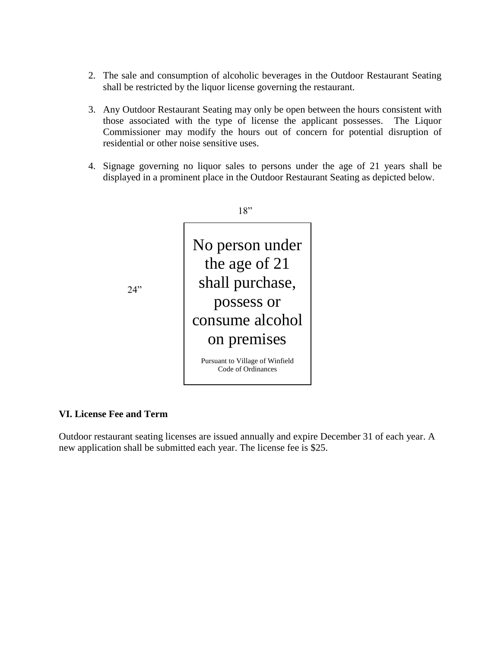- 2. The sale and consumption of alcoholic beverages in the Outdoor Restaurant Seating shall be restricted by the liquor license governing the restaurant.
- 3. Any Outdoor Restaurant Seating may only be open between the hours consistent with those associated with the type of license the applicant possesses. The Liquor Commissioner may modify the hours out of concern for potential disruption of residential or other noise sensitive uses.
- 4. Signage governing no liquor sales to persons under the age of 21 years shall be displayed in a prominent place in the Outdoor Restaurant Seating as depicted below.



#### **VI. License Fee and Term**

Outdoor restaurant seating licenses are issued annually and expire December 31 of each year. A new application shall be submitted each year. The license fee is \$25.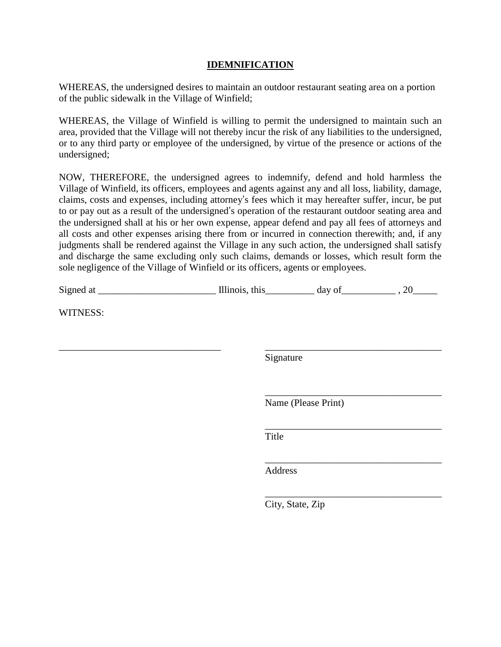#### **IDEMNIFICATION**

WHEREAS, the undersigned desires to maintain an outdoor restaurant seating area on a portion of the public sidewalk in the Village of Winfield;

WHEREAS, the Village of Winfield is willing to permit the undersigned to maintain such an area, provided that the Village will not thereby incur the risk of any liabilities to the undersigned, or to any third party or employee of the undersigned, by virtue of the presence or actions of the undersigned;

NOW, THEREFORE, the undersigned agrees to indemnify, defend and hold harmless the Village of Winfield, its officers, employees and agents against any and all loss, liability, damage, claims, costs and expenses, including attorney's fees which it may hereafter suffer, incur, be put to or pay out as a result of the undersigned's operation of the restaurant outdoor seating area and the undersigned shall at his or her own expense, appear defend and pay all fees of attorneys and all costs and other expenses arising there from or incurred in connection therewith; and, if any judgments shall be rendered against the Village in any such action, the undersigned shall satisfy and discharge the same excluding only such claims, demands or losses, which result form the sole negligence of the Village of Winfield or its officers, agents or employees.

| WITNESS: |           |                     |  |
|----------|-----------|---------------------|--|
|          |           |                     |  |
|          | Signature |                     |  |
|          |           |                     |  |
|          |           | Name (Please Print) |  |
|          | Title     |                     |  |
|          | Address   |                     |  |
|          |           |                     |  |

City, State, Zip